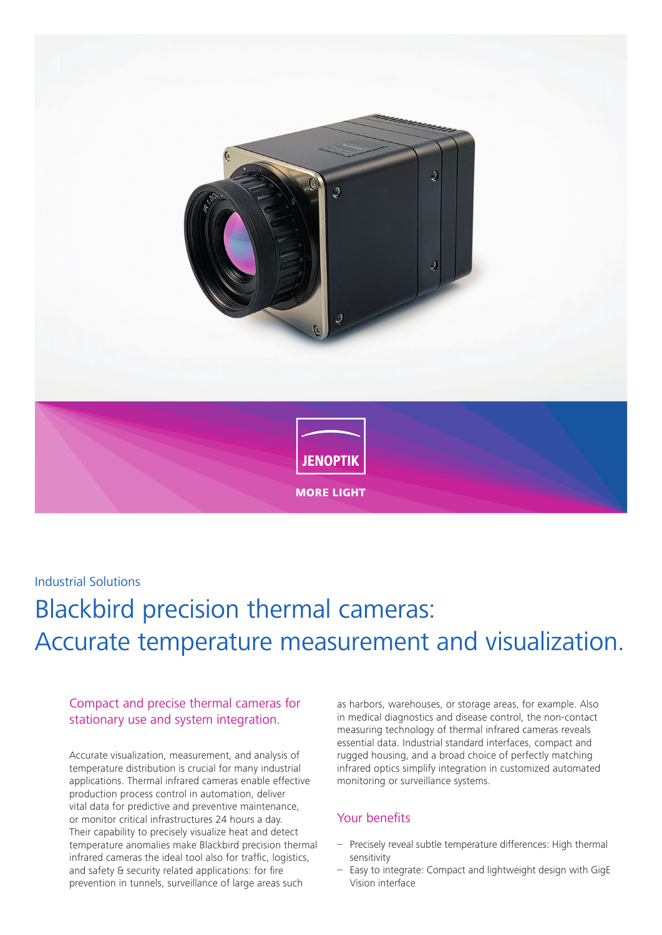

## Industrial Solutions

# Blackbird precision thermal cameras: Accurate temperature measurement and visualization.

### Compact and precise thermal cameras for stationary use and system integration.

Accurate visualization, measurement, and analysis of temperature distribution is crucial for many industrial applications. Thermal infrared cameras enable effective production process control in automation, deliver vital data for predictive and preventive maintenance, or monitor critical infrastructures 24 hours a day. Their capability to precisely visualize heat and detect temperature anomalies make Blackbird precision thermal infrared cameras the ideal tool also for traffic, logistics, and safety & security related applications: for fire prevention in tunnels, surveillance of large areas such

as harbors, warehouses, or storage areas, for example. Also in medical diagnostics and disease control, the non-contact measuring technology of thermal infrared cameras reveals essential data. Industrial standard interfaces, compact and rugged housing, and a broad choice of perfectly matching infrared optics simplify integration in customized automated monitoring or surveillance systems.

#### Your benefits

- Precisely reveal subtle temperature differences: High thermal sensitivity
- Easy to integrate: Compact and lightweight design with GigE Vision interface